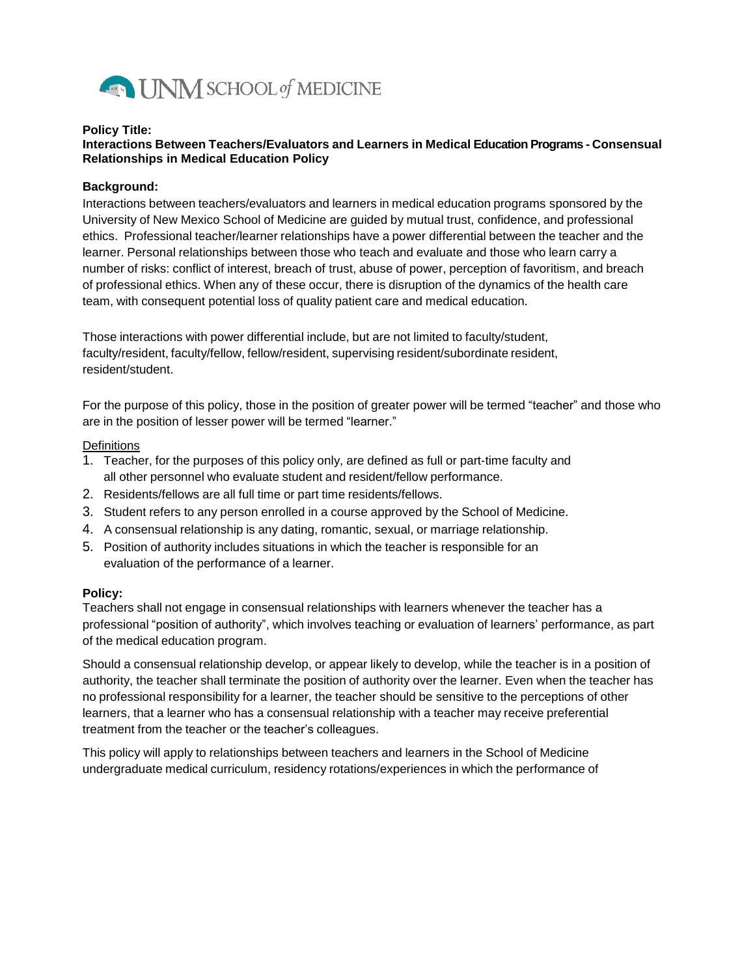

#### **Policy Title:**

# **Interactions Between Teachers/Evaluators and Learners in Medical Education Programs - Consensual Relationships in Medical Education Policy**

## **Background:**

Interactions between teachers/evaluators and learners in medical education programs sponsored by the University of New Mexico School of Medicine are guided by mutual trust, confidence, and professional ethics. Professional teacher/learner relationships have a power differential between the teacher and the learner. Personal relationships between those who teach and evaluate and those who learn carry a number of risks: conflict of interest, breach of trust, abuse of power, perception of favoritism, and breach of professional ethics. When any of these occur, there is disruption of the dynamics of the health care team, with consequent potential loss of quality patient care and medical education.

Those interactions with power differential include, but are not limited to faculty/student, faculty/resident, faculty/fellow, fellow/resident, supervising resident/subordinate resident, resident/student.

For the purpose of this policy, those in the position of greater power will be termed "teacher" and those who are in the position of lesser power will be termed "learner."

#### **Definitions**

- 1. Teacher, for the purposes of this policy only, are defined as full or part-time faculty and all other personnel who evaluate student and resident/fellow performance.
- 2. Residents/fellows are all full time or part time residents/fellows.
- 3. Student refers to any person enrolled in a course approved by the School of Medicine.
- 4. A consensual relationship is any dating, romantic, sexual, or marriage relationship.
- 5. Position of authority includes situations in which the teacher is responsible for an evaluation of the performance of a learner.

## **Policy:**

Teachers shall not engage in consensual relationships with learners whenever the teacher has a professional "position of authority", which involves teaching or evaluation of learners' performance, as part of the medical education program.

Should a consensual relationship develop, or appear likely to develop, while the teacher is in a position of authority, the teacher shall terminate the position of authority over the learner. Even when the teacher has no professional responsibility for a learner, the teacher should be sensitive to the perceptions of other learners, that a learner who has a consensual relationship with a teacher may receive preferential treatment from the teacher or the teacher's colleagues.

This policy will apply to relationships between teachers and learners in the School of Medicine undergraduate medical curriculum, residency rotations/experiences in which the performance of